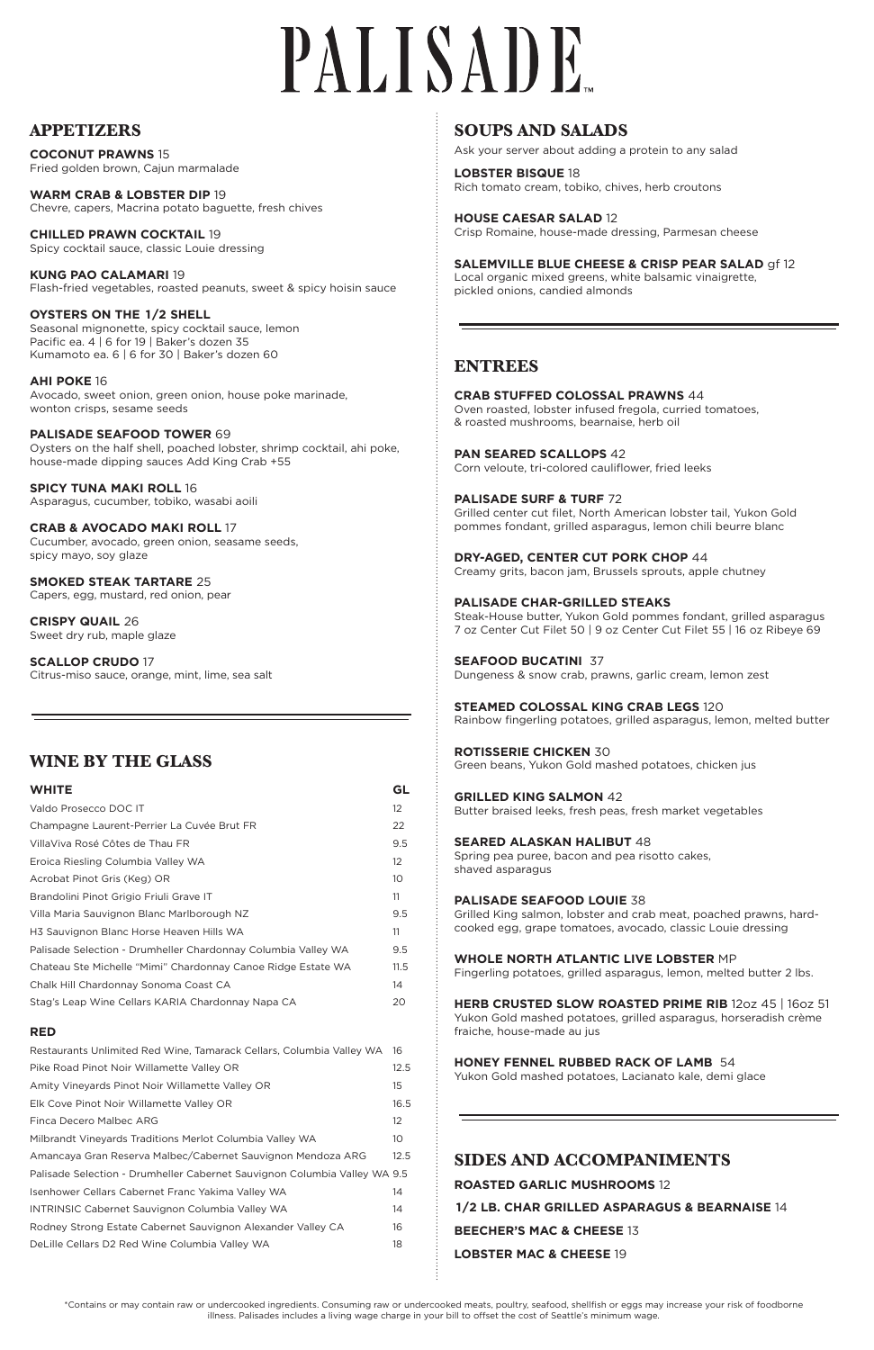# PALISADE

## **APPETIZERS**

**COCONUT PRAWNS** 15 Fried golden brown, Cajun marmalade

**WARM CRAB & LOBSTER DIP** 19 Chevre, capers, Macrina potato baguette, fresh chives

**CHILLED PRAWN COCKTAIL** 19 Spicy cocktail sauce, classic Louie dressing

**KUNG PAO CALAMARI** 19 Flash-fried vegetables, roasted peanuts, sweet & spicy hoisin sauce

**OYSTERS ON THE 1/2 SHELL** Seasonal mignonette, spicy cocktail sauce, lemon Pacific ea. 4 | 6 for 19 | Baker's dozen 35 Kumamoto ea. 6 | 6 for 30 | Baker's dozen 60

**AHI POKE** 16 Avocado, sweet onion, green onion, house poke marinade, wonton crisps, sesame seeds

#### **PALISADE SEAFOOD TOWER** 69 Oysters on the half shell, poached lobster, shrimp cocktail, ahi poke, house-made dipping sauces Add King Crab +55

**SPICY TUNA MAKI ROLL** 16 Asparagus, cucumber, tobiko, wasabi aoili

**CRAB & AVOCADO MAKI ROLL** 17 Cucumber, avocado, green onion, seasame seeds, spicy mayo, soy glaze

**SMOKED STEAK TARTARE** 25 Capers, egg, mustard, red onion, pear

**CRISPY QUAIL** 26 Sweet dry rub, maple glaze

**SCALLOP CRUDO** 17 Citrus-miso sauce, orange, mint, lime, sea salt

# **WINE BY THE GLASS**

## **WHITE GL**

| Valdo Prosecco DOC IT                                         | 12                |
|---------------------------------------------------------------|-------------------|
| Champagne Laurent-Perrier La Cuvée Brut FR                    | 22                |
| Villa Viva Rosé Côtes de Thau FR                              | 9.5               |
| Eroica Riesling Columbia Valley WA                            | $12 \overline{ }$ |
| Acrobat Pinot Gris (Keg) OR                                   | 10                |
| Brandolini Pinot Grigio Friuli Grave IT                       | 11                |
| Villa Maria Sauvignon Blanc Marlborough NZ                    | 9.5               |
| H3 Sauvignon Blanc Horse Heaven Hills WA                      | 11                |
| Palisade Selection - Drumheller Chardonnay Columbia Valley WA | 9.5               |
| Chateau Ste Michelle "Mimi" Chardonnay Canoe Ridge Estate WA  | 11.5              |
| Chalk Hill Chardonnay Sonoma Coast CA                         | 14                |

Stag's Leap Wine Cellars KARIA Chardonnay Napa CA 20

#### **RED**

| 12.5<br>15<br>16.5<br>12<br>Finca Decero Malbec ARG<br>10<br>12.5<br>Isenhower Cellars Cabernet Franc Yakima Valley WA<br>14<br>14<br>16 | Restaurants Unlimited Red Wine, Tamarack Cellars, Columbia Valley WA      |  |  |  |
|------------------------------------------------------------------------------------------------------------------------------------------|---------------------------------------------------------------------------|--|--|--|
|                                                                                                                                          | Pike Road Pinot Noir Willamette Valley OR                                 |  |  |  |
|                                                                                                                                          | Amity Vineyards Pinot Noir Willamette Valley OR                           |  |  |  |
|                                                                                                                                          | Elk Cove Pinot Noir Willamette Valley OR                                  |  |  |  |
|                                                                                                                                          |                                                                           |  |  |  |
|                                                                                                                                          | Milbrandt Vineyards Traditions Merlot Columbia Valley WA                  |  |  |  |
|                                                                                                                                          | Amancaya Gran Reserva Malbec/Cabernet Sauvignon Mendoza ARG               |  |  |  |
|                                                                                                                                          | Palisade Selection - Drumheller Cabernet Sauvignon Columbia Valley WA 9.5 |  |  |  |
|                                                                                                                                          |                                                                           |  |  |  |
|                                                                                                                                          | <b>INTRINSIC Cabernet Sauvignon Columbia Valley WA</b>                    |  |  |  |
|                                                                                                                                          | Rodney Strong Estate Cabernet Sauvignon Alexander Valley CA               |  |  |  |
| 18                                                                                                                                       | DeLille Cellars D2 Red Wine Columbia Valley WA                            |  |  |  |

# **SOUPS AND SALADS**

Ask your server about adding a protein to any salad

**LOBSTER BISQUE** 18 Rich tomato cream, tobiko, chives, herb croutons

**HOUSE CAESAR SALAD** 12 Crisp Romaine, house-made dressing, Parmesan cheese

**SALEMVILLE BLUE CHEESE & CRISP PEAR SALAD** gf 12 Local organic mixed greens, white balsamic vinaigrette, pickled onions, candied almonds

## **ENTREES**

**CRAB STUFFED COLOSSAL PRAWNS** 44 Oven roasted, lobster infused fregola, curried tomatoes, & roasted mushrooms, bearnaise, herb oil

**PAN SEARED SCALLOPS** 42 Corn veloute, tri-colored cauliflower, fried leeks

**PALISADE SURF & TURF** 72 Grilled center cut filet, North American lobster tail, Yukon Gold pommes fondant, grilled asparagus, lemon chili beurre blanc

**DRY-AGED, CENTER CUT PORK CHOP** 44 Creamy grits, bacon jam, Brussels sprouts, apple chutney

## **PALISADE CHAR-GRILLED STEAKS**

Steak-House butter, Yukon Gold pommes fondant, grilled asparagus 7 oz Center Cut Filet 50 | 9 oz Center Cut Filet 55 | 16 oz Ribeye 69

**SEAFOOD BUCATINI** 37 Dungeness & snow crab, prawns, garlic cream, lemon zest

**STEAMED COLOSSAL KING CRAB LEGS** 120 Rainbow fingerling potatoes, grilled asparagus, lemon, melted butter

**ROTISSERIE CHICKEN** 30 Green beans, Yukon Gold mashed potatoes, chicken jus

**GRILLED KING SALMON** 42 Butter braised leeks, fresh peas, fresh market vegetables

## **SEARED ALASKAN HALIBUT** 48

Spring pea puree, bacon and pea risotto cakes, shaved asparagus

#### **PALISADE SEAFOOD LOUIE** 38

Grilled King salmon, lobster and crab meat, poached prawns, hardcooked egg, grape tomatoes, avocado, classic Louie dressing

## **WHOLE NORTH ATLANTIC LIVE LOBSTER** MP

Fingerling potatoes, grilled asparagus, lemon, melted butter 2 lbs.

**HERB CRUSTED SLOW ROASTED PRIME RIB** 12oz 45 | 16oz 51 Yukon Gold mashed potatoes, grilled asparagus, horseradish crème fraiche, house-made au jus

#### **HONEY FENNEL RUBBED RACK OF LAMB** 54

Yukon Gold mashed potatoes, Lacianato kale, demi glace

**SIDES AND ACCOMPANIMENTS ROASTED GARLIC MUSHROOMS** 12 **1/2 LB. CHAR GRILLED ASPARAGUS & BEARNAISE** 14 **BEECHER'S MAC & CHEESE** 13 **LOBSTER MAC & CHEESE** 19

\*Contains or may contain raw or undercooked ingredients. Consuming raw or undercooked meats, poultry, seafood, shellfish or eggs may increase your risk of foodborne illness. Palisades includes a living wage charge in your bill to offset the cost of Seattle's minimum wage.